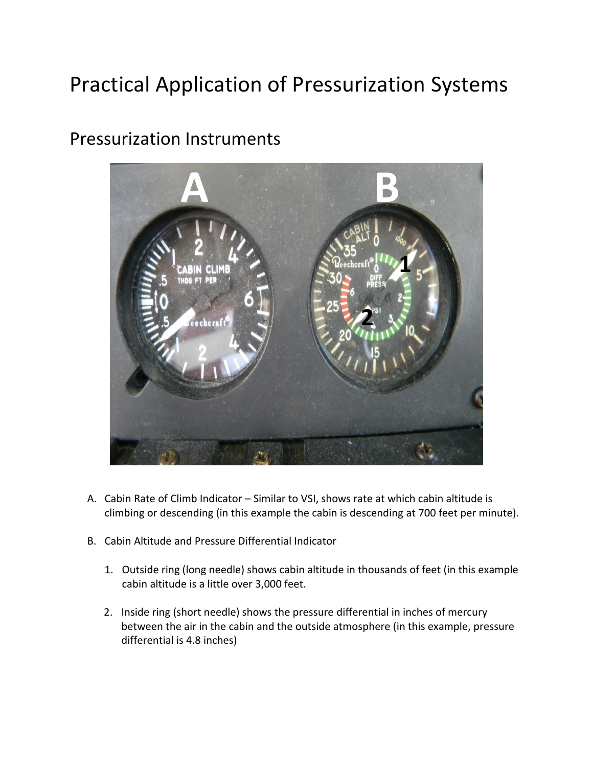# Practical Application of Pressurization Systems



#### Pressurization Instruments

- A. Cabin Rate of Climb Indicator Similar to VSI, shows rate at which cabin altitude is climbing or descending (in this example the cabin is descending at 700 feet per minute).
- B. Cabin Altitude and Pressure Differential Indicator
	- 1. Outside ring (long needle) shows cabin altitude in thousands of feet (in this example cabin altitude is a little over 3,000 feet.
	- 2. Inside ring (short needle) shows the pressure differential in inches of mercury between the air in the cabin and the outside atmosphere (in this example, pressure differential is 4.8 inches)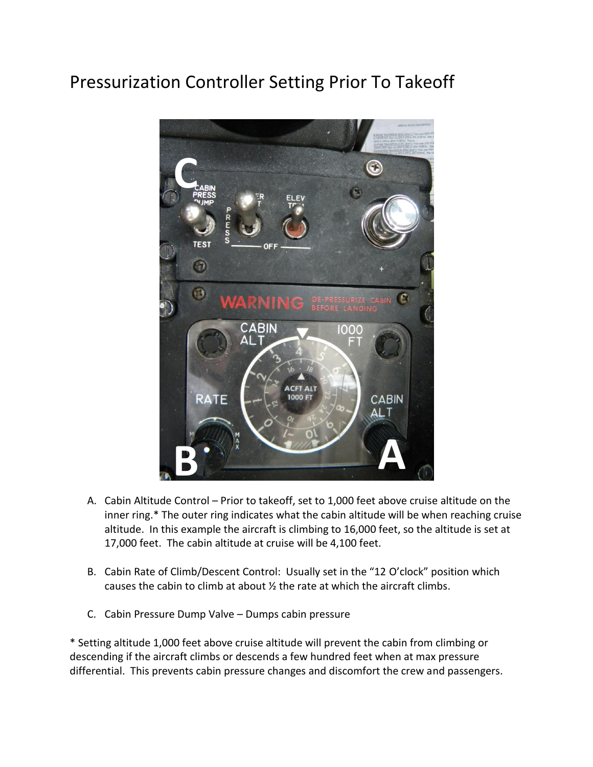# Pressurization Controller Setting Prior To Takeoff



- A. Cabin Altitude Control Prior to takeoff, set to 1,000 feet above cruise altitude on the inner ring.\* The outer ring indicates what the cabin altitude will be when reaching cruise altitude. In this example the aircraft is climbing to 16,000 feet, so the altitude is set at 17,000 feet. The cabin altitude at cruise will be 4,100 feet.
- B. Cabin Rate of Climb/Descent Control: Usually set in the "12 O'clock" position which causes the cabin to climb at about ½ the rate at which the aircraft climbs.
- C. Cabin Pressure Dump Valve Dumps cabin pressure

\* Setting altitude 1,000 feet above cruise altitude will prevent the cabin from climbing or descending if the aircraft climbs or descends a few hundred feet when at max pressure differential. This prevents cabin pressure changes and discomfort the crew and passengers.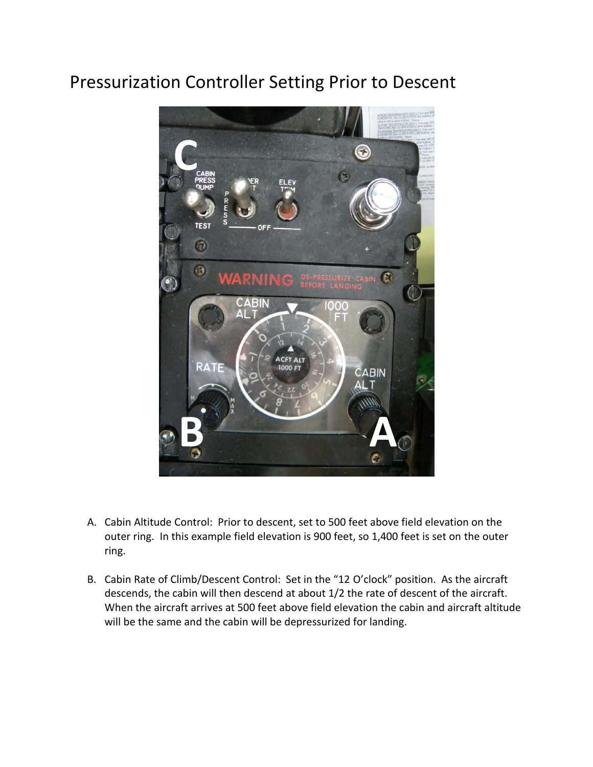### Pressurization Controller Setting Prior to Descent



- A. Cabin Altitude Control: Prior to descent, set to 500 feet above field elevation on the outer ring. In this example field elevation is 900 feet, so 1,400 feet is set on the outer ring.
- B. Cabin Rate of Climb/Descent Control: Set in the "12 O'clock" position. As the aircraft descends, the cabin will then descend at about 1/2 the rate of descent of the aircraft. When the aircraft arrives at 500 feet above field elevation the cabin and aircraft altitude will be the same and the cabin will be depressurized for landing.